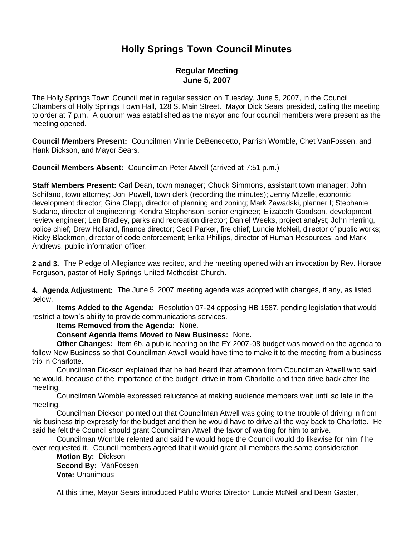# **Holly Springs Town Council Minutes**

## **Regular Meeting June 5, 2007**

The Holly Springs Town Council met in regular session on Tuesday, June 5, 2007, in the Council Chambers of Holly Springs Town Hall, 128 S. Main Street. Mayor Dick Sears presided, calling the meeting to order at 7 p.m. A quorum was established as the mayor and four council members were present as the meeting opened.

**Council Members Present:** Councilmen Vinnie DeBenedetto, Parrish Womble, Chet VanFossen, and Hank Dickson, and Mayor Sears.

**Council Members Absent:** Councilman Peter Atwell (arrived at 7:51 p.m.)

**Staff Members Present:** Carl Dean, town manager; Chuck Simmons, assistant town manager; John Schifano, town attorney; Joni Powell, town clerk (recording the minutes); Jenny Mizelle, economic development director; Gina Clapp, director of planning and zoning; Mark Zawadski, planner I; Stephanie Sudano, director of engineering; Kendra Stephenson, senior engineer; Elizabeth Goodson, development review engineer; Len Bradley, parks and recreation director; Daniel Weeks, project analyst; John Herring, police chief; Drew Holland, finance director; Cecil Parker, fire chief; Luncie McNeil, director of public works; Ricky Blackmon, director of code enforcement; Erika Phillips, director of Human Resources; and Mark Andrews, public information officer.

**2 and 3.** The Pledge of Allegiance was recited, and the meeting opened with an invocation by Rev. Horace Ferguson, pastor of Holly Springs United Methodist Church.

**4. Agenda Adjustment:** The June 5, 2007 meeting agenda was adopted with changes, if any, as listed below.

 **Items Added to the Agenda:** Resolution 07-24 opposing HB 1587, pending legislation that would restrict a town's ability to provide communications services.

**Items Removed from the Agenda:** None.

**Consent Agenda Items Moved to New Business:** None.

 **Other Changes:** Item 6b, a public hearing on the FY 2007-08 budget was moved on the agenda to follow New Business so that Councilman Atwell would have time to make it to the meeting from a business trip in Charlotte.

Councilman Dickson explained that he had heard that afternoon from Councilman Atwell who said he would, because of the importance of the budget, drive in from Charlotte and then drive back after the meeting.

Councilman Womble expressed reluctance at making audience members wait until so late in the meeting.

Councilman Dickson pointed out that Councilman Atwell was going to the trouble of driving in from his business trip expressly for the budget and then he would have to drive all the way back to Charlotte. He said he felt the Council should grant Councilman Atwell the favor of waiting for him to arrive.

Councilman Womble relented and said he would hope the Council would do likewise for him if he ever requested it. Council members agreed that it would grant all members the same consideration.

**Motion By:** Dickson **Second By:** VanFossen **Vote:** Unanimous

At this time, Mayor Sears introduced Public Works Director Luncie McNeil and Dean Gaster,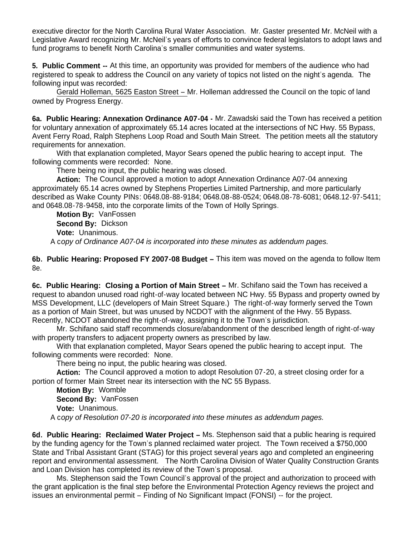executive director for the North Carolina Rural Water Association. Mr. Gaster presented Mr. McNeil with a Legislative Award recognizing Mr. McNeil's years of efforts to convince federal legislators to adopt laws and fund programs to benefit North Carolina's smaller communities and water systems.

**5. Public Comment --** At this time, an opportunity was provided for members of the audience who had registered to speak to address the Council on any variety of topics not listed on the night's agenda. The following input was recorded:

Gerald Holleman, 5625 Easton Street – Mr. Holleman addressed the Council on the topic of land owned by Progress Energy.

**6a. Public Hearing: Annexation Ordinance A07-04 -** Mr. Zawadski said the Town has received a petition for voluntary annexation of approximately 65.14 acres located at the intersections of NC Hwy. 55 Bypass, Avent Ferry Road, Ralph Stephens Loop Road and South Main Street. The petition meets all the statutory requirements for annexation.

With that explanation completed, Mayor Sears opened the public hearing to accept input. The following comments were recorded: None.

There being no input, the public hearing was closed.

 **Action:** The Council approved a motion to adopt Annexation Ordinance A07-04 annexing approximately 65.14 acres owned by Stephens Properties Limited Partnership, and more particularly described as Wake County PINs: 0648.08-88-9184; 0648.08-88-0524; 0648.08-78-6081; 0648.12-97-5411; and 0648.08-78-9458, into the corporate limits of the Town of Holly Springs.

 **Motion By:** VanFossen **Second By:** Dickson **Vote:** Unanimous. A c*opy of Ordinance A07-04 is incorporated into these minutes as addendum pages.*

**6b. Public Hearing: Proposed FY 2007-08 Budget –** This item was moved on the agenda to follow Item 8e.

**6c. Public Hearing: Closing a Portion of Main Street –** Mr. Schifano said the Town has received a request to abandon unused road right-of-way located between NC Hwy. 55 Bypass and property owned by MSS Development, LLC (developers of Main Street Square.) The right-of-way formerly served the Town as a portion of Main Street, but was unused by NCDOT with the alignment of the Hwy. 55 Bypass. Recently, NCDOT abandoned the right-of-way, assigning it to the Town's jurisdiction.

Mr. Schifano said staff recommends closure/abandonment of the described length of right-of-way with property transfers to adjacent property owners as prescribed by law.

 With that explanation completed, Mayor Sears opened the public hearing to accept input. The following comments were recorded: None.

There being no input, the public hearing was closed.

 **Action:** The Council approved a motion to adopt Resolution 07-20, a street closing order for a portion of former Main Street near its intersection with the NC 55 Bypass.

 **Motion By:** Womble **Second By:** VanFossen **Vote:** Unanimous.

A c*opy of Resolution 07-20 is incorporated into these minutes as addendum pages.*

**6d. Public Hearing: Reclaimed Water Project –** Ms. Stephenson said that a public hearing is required by the funding agency for the Town's planned reclaimed water project. The Town received a \$750,000 State and Tribal Assistant Grant (STAG) for this project several years ago and completed an engineering report and environmental assessment. The North Carolina Division of Water Quality Construction Grants and Loan Division has completed its review of the Town's proposal.

 Ms. Stephenson said the Town Council's approval of the project and authorization to proceed with the grant application is the final step before the Environmental Protection Agency reviews the project and issues an environmental permit – Finding of No Significant Impact (FONSI) -- for the project.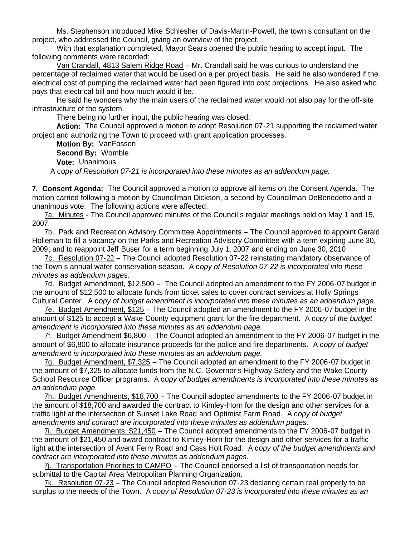Ms. Stephenson introduced Mike Schlesher of Davis-Martin-Powell, the town's consultant on the project, who addressed the Council, giving an overview of the project.

With that explanation completed, Mayor Sears opened the public hearing to accept input. The following comments were recorded:

Van Crandall, 4813 Salem Ridge Road – Mr. Crandall said he was curious to understand the percentage of reclaimed water that would be used on a per project basis. He said he also wondered if the electrical cost of pumping the reclaimed water had been figured into cost projections. He also asked who pays that electrical bill and how much would it be.

He said he wonders why the main users of the reclaimed water would not also pay for the off-site infrastructure of the system.

There being no further input, the public hearing was closed.

 **Action:** The Council approved a motion to adopt Resolution 07-21 supporting the reclaimed water project and authorizing the Town to proceed with grant application processes.

 **Motion By:** VanFossen **Second By:** Womble **Vote:** Unanimous.

A c*opy of Resolution 07-21 is incorporated into these minutes as an addendum page.*

**7. Consent Agenda:** The Council approved a motion to approve all items on the Consent Agenda. The motion carried following a motion by Councilman Dickson, a second by Councilman DeBenedetto and a unanimous vote. The following actions were affected:

 7a. Minutes - The Council approved minutes of the Council's regular meetings held on May 1 and 15, 2007.

 7b. Park and Recreation Advisory Committee Appointments – The Council approved to appoint Gerald Holleman to fill a vacancy on the Parks and Recreation Advisory Committee with a term expiring June 30, 2009; and to reappoint Jeff Buser for a term beginning July 1, 2007 and ending on June 30, 2010.

 7c. Resolution 07-22 – The Council adopted Resolution 07-22 reinstating mandatory observance of the Town's annual water conservation season. A c*opy of Resolution 07-22 is incorporated into these minutes as addendum pages.*

7d. Budget Amendment, \$12,500 – The Council adopted an amendment to the FY 2006-07 budget in the amount of \$12,500 to allocate funds from ticket sales to cover contract services at Holly Springs Cultural Center. A c*opy of budget amendment is incorporated into these minutes as an addendum page.*

 7e. Budget Amendment, \$125 – The Council adopted an amendment to the FY 2006-07 budget in the amount of \$125 to accept a Wake County equipment grant for the fire department. A c*opy of the budget amendment is incorporated into these minutes as an addendum page.*

7f. Budget Amendment \$6,800 - The Council adopted an amendment to the FY 2006-07 budget in the amount of \$6,800 to allocate insurance proceeds for the police and fire departments. A c*opy of budget amendment is incorporated into these minutes as an addendum page.*

 7g. Budget Amendment, \$7,325 – The Council adopted an amendment to the FY 2006-07 budget in the amount of \$7,325 to allocate funds from the N.C. Governor's Highway Safety and the Wake County School Resource Officer programs. A c*opy of budget amendments is incorporated into these minutes as an addendum page.*

 7h. Budget Amendments, \$18,700 – The Council adopted amendments to the FY 2006-07 budget in the amount of \$18,700 and awarded the contract to Kimley-Horn for the design and other services for a traffic light at the intersection of Sunset Lake Road and Optimist Farm Road. A c*opy of budget amendments and contract are incorporated into these minutes as addendum pages.*

 7i. Budget Amendments, \$21,450 – The Council adopted amendments to the FY 2006-07 budget in the amount of \$21,450 and award contract to Kimley-Horn for the design and other services for a traffic light at the intersection of Avent Ferry Road and Cass Holt Road. A c*opy of the budget amendments and contract are incorporated into these minutes as addendum pages.*

 7j. Transportation Priorities to CAMPO – The Council endorsed a list of transportation needs for submittal to the Capital Area Metropolitan Planning Organization.

 7k. Resolution 07-23 – The Council adopted Resolution 07-23 declaring certain real property to be surplus to the needs of the Town. A c*opy of Resolution 07-23 is incorporated into these minutes as an*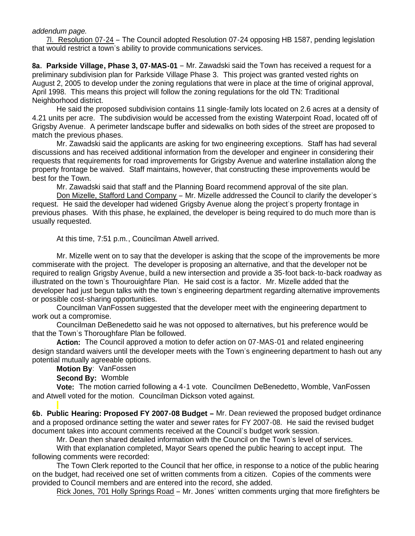#### *addendum page.*

 7l. Resolution 07-24 – The Council adopted Resolution 07-24 opposing HB 1587, pending legislation that would restrict a town's ability to provide communications services.

**8a. Parkside Village, Phase 3, 07-MAS-01** – Mr. Zawadski said the Town has received a request for a preliminary subdivision plan for Parkside Village Phase 3. This project was granted vested rights on August 2, 2005 to develop under the zoning regulations that were in place at the time of original approval, April 1998. This means this project will follow the zoning regulations for the old TN: Traditional Neighborhood district.

He said the proposed subdivision contains 11 single-family lots located on 2.6 acres at a density of 4.21 units per acre. The subdivision would be accessed from the existing Waterpoint Road, located off of Grigsby Avenue. A perimeter landscape buffer and sidewalks on both sides of the street are proposed to match the previous phases.

Mr. Zawadski said the applicants are asking for two engineering exceptions. Staff has had several discussions and has received additional information from the developer and engineer in considering their requests that requirements for road improvements for Grigsby Avenue and waterline installation along the property frontage be waived. Staff maintains, however, that constructing these improvements would be best for the Town.

Mr. Zawadski said that staff and the Planning Board recommend approval of the site plan.

 Don Mizelle, Stafford Land Company – Mr. Mizelle addressed the Council to clarify the developer's request. He said the developer had widened Grigsby Avenue along the project's property frontage in previous phases. With this phase, he explained, the developer is being required to do much more than is usually requested.

At this time, 7:51 p.m., Councilman Atwell arrived.

Mr. Mizelle went on to say that the developer is asking that the scope of the improvements be more commiserate with the project. The developer is proposing an alternative, and that the developer not be required to realign Grigsby Avenue, build a new intersection and provide a 35-foot back-to-back roadway as illustrated on the town's Thourouighfare Plan. He said cost is a factor. Mr. Mizelle added that the developer had just begun talks with the town's engineering department regarding alternative improvements or possible cost-sharing opportunities.

Councilman VanFossen suggested that the developer meet with the engineering department to work out a compromise.

Councilman DeBenedetto said he was not opposed to alternatives, but his preference would be that the Town's Thoroughfare Plan be followed.

**Action:** The Council approved a motion to defer action on 07-MAS-01 and related engineering design standard waivers until the developer meets with the Town's engineering department to hash out any potential mutually agreeable options.

**Motion By**: VanFossen

**Second By:** Womble

**Vote:** The motion carried following a 4-1 vote. Councilmen DeBenedetto, Womble, VanFossen and Atwell voted for the motion. Councilman Dickson voted against.

6b. Public Hearing: Proposed FY 2007-08 Budget - Mr. Dean reviewed the proposed budget ordinance and a proposed ordinance setting the water and sewer rates for FY 2007-08. He said the revised budget document takes into account comments received at the Council's budget work session.

Mr. Dean then shared detailed information with the Council on the Town's level of services.

With that explanation completed, Mayor Sears opened the public hearing to accept input. The following comments were recorded:

The Town Clerk reported to the Council that her office, in response to a notice of the public hearing on the budget, had received one set of written comments from a citizen. Copies of the comments were provided to Council members and are entered into the record, she added.

Rick Jones, 701 Holly Springs Road – Mr. Jones' written comments urging that more firefighters be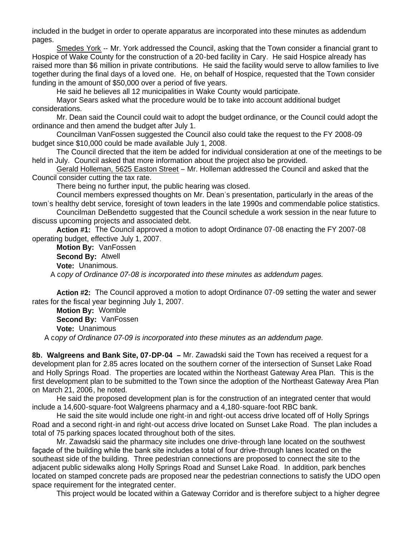included in the budget in order to operate apparatus are incorporated into these minutes as addendum pages.

Smedes York -- Mr. York addressed the Council, asking that the Town consider a financial grant to Hospice of Wake County for the construction of a 20-bed facility in Cary. He said Hospice already has raised more than \$6 million in private contributions. He said the facility would serve to allow families to live together during the final days of a loved one. He, on behalf of Hospice, requested that the Town consider funding in the amount of \$50,000 over a period of five years.

He said he believes all 12 municipalities in Wake County would participate.

Mayor Sears asked what the procedure would be to take into account additional budget considerations.

Mr. Dean said the Council could wait to adopt the budget ordinance, or the Council could adopt the ordinance and then amend the budget after July 1.

Councilman VanFossen suggested the Council also could take the request to the FY 2008-09 budget since \$10,000 could be made available July 1, 2008.

The Council directed that the item be added for individual consideration at one of the meetings to be held in July. Council asked that more information about the project also be provided.

Gerald Holleman, 5625 Easton Street – Mr. Holleman addressed the Council and asked that the Council consider cutting the tax rate.

There being no further input, the public hearing was closed.

Council members expressed thoughts on Mr. Dean's presentation, particularly in the areas of the town's healthy debt service, foresight of town leaders in the late 1990s and commendable police statistics.

Councilman DeBendetto suggested that the Council schedule a work session in the near future to discuss upcoming projects and associated debt.

 **Action #1:** The Council approved a motion to adopt Ordinance 07-08 enacting the FY 2007-08 operating budget, effective July 1, 2007.

 **Motion By:** VanFossen **Second By:** Atwell **Vote:** Unanimous. A c*opy of Ordinance 07-08 is incorporated into these minutes as addendum pages.*

 **Action #2:** The Council approved a motion to adopt Ordinance 07-09 setting the water and sewer rates for the fiscal year beginning July 1, 2007.

 **Motion By:** Womble **Second By:** VanFossen **Vote:** Unanimous A c*opy of Ordinance 07-09 is incorporated into these minutes as an addendum page.*

**8b. Walgreens and Bank Site, 07-DP-04 –** Mr. Zawadski said the Town has received a request for a development plan for 2.85 acres located on the southern corner of the intersection of Sunset Lake Road and Holly Springs Road. The properties are located within the Northeast Gateway Area Plan. This is the first development plan to be submitted to the Town since the adoption of the Northeast Gateway Area Plan on March 21, 2006, he noted.

He said the proposed development plan is for the construction of an integrated center that would include a 14,600-square-foot Walgreens pharmacy and a 4,180-square-foot RBC bank.

He said the site would include one right-in and right-out access drive located off of Holly Springs Road and a second right-in and right-out access drive located on Sunset Lake Road. The plan includes a total of 75 parking spaces located throughout both of the sites.

Mr. Zawadski said the pharmacy site includes one drive-through lane located on the southwest façade of the building while the bank site includes a total of four drive-through lanes located on the southeast side of the building. Three pedestrian connections are proposed to connect the site to the adjacent public sidewalks along Holly Springs Road and Sunset Lake Road. In addition, park benches located on stamped concrete pads are proposed near the pedestrian connections to satisfy the UDO open space requirement for the integrated center.

This project would be located within a Gateway Corridor and is therefore subject to a higher degree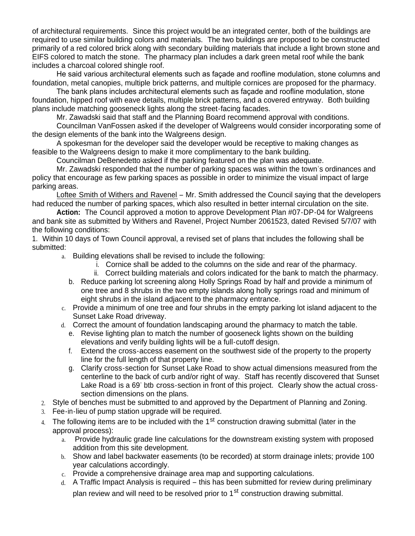of architectural requirements. Since this project would be an integrated center, both of the buildings are required to use similar building colors and materials. The two buildings are proposed to be constructed primarily of a red colored brick along with secondary building materials that include a light brown stone and EIFS colored to match the stone. The pharmacy plan includes a dark green metal roof while the bank includes a charcoal colored shingle roof.

He said various architectural elements such as façade and roofline modulation, stone columns and foundation, metal canopies, multiple brick patterns, and multiple cornices are proposed for the pharmacy.

The bank plans includes architectural elements such as façade and roofline modulation, stone foundation, hipped roof with eave details, multiple brick patterns, and a covered entryway. Both building plans include matching gooseneck lights along the street-facing facades.

Mr. Zawadski said that staff and the Planning Board recommend approval with conditions.

 Councilman VanFossen asked if the developer of Walgreens would consider incorporating some of the design elements of the bank into the Walgreens design.

 A spokesman for the developer said the developer would be receptive to making changes as feasible to the Walgreens design to make it more complimentary to the bank building.

Councilman DeBenedetto asked if the parking featured on the plan was adequate.

 Mr. Zawadski responded that the number of parking spaces was within the town's ordinances and policy that encourage as few parking spaces as possible in order to minimize the visual impact of large parking areas.

 Loftee Smith of Withers and Ravenel – Mr. Smith addressed the Council saying that the developers had reduced the number of parking spaces, which also resulted in better internal circulation on the site.

 **Action:** The Council approved a motion to approve Development Plan #07-DP-04 for Walgreens and bank site as submitted by Withers and Ravenel, Project Number 2061523, dated Revised 5/7/07 with the following conditions:

1. Within 10 days of Town Council approval, a revised set of plans that includes the following shall be submitted:

a. Building elevations shall be revised to include the following:

- i. Cornice shall be added to the columns on the side and rear of the pharmacy.
- ii. Correct building materials and colors indicated for the bank to match the pharmacy.
- b. Reduce parking lot screening along Holly Springs Road by half and provide a minimum of one tree and 8 shrubs in the two empty islands along holly springs road and minimum of eight shrubs in the island adjacent to the pharmacy entrance.
- c. Provide a minimum of one tree and four shrubs in the empty parking lot island adjacent to the Sunset Lake Road driveway.
- d. Correct the amount of foundation landscaping around the pharmacy to match the table.
	- e. Revise lighting plan to match the number of gooseneck lights shown on the building elevations and verify building lights will be a full-cutoff design.
	- f. Extend the cross-access easement on the southwest side of the property to the property line for the full length of that property line.
	- g. Clarify cross-section for Sunset Lake Road to show actual dimensions measured from the centerline to the back of curb and/or right of way. Staff has recently discovered that Sunset Lake Road is a 69' btb cross-section in front of this project. Clearly show the actual crosssection dimensions on the plans.
- 2. Style of benches must be submitted to and approved by the Department of Planning and Zoning.
- 3. Fee-in-lieu of pump station upgrade will be required.
- 4. The following items are to be included with the  $1<sup>st</sup>$  construction drawing submittal (later in the approval process):
	- a. Provide hydraulic grade line calculations for the downstream existing system with proposed addition from this site development.
	- b. Show and label backwater easements (to be recorded) at storm drainage inlets; provide 100 year calculations accordingly.
	- c. Provide a comprehensive drainage area map and supporting calculations.
	- d. A Traffic Impact Analysis is required this has been submitted for review during preliminary plan review and will need to be resolved prior to 1<sup>st</sup> construction drawing submittal.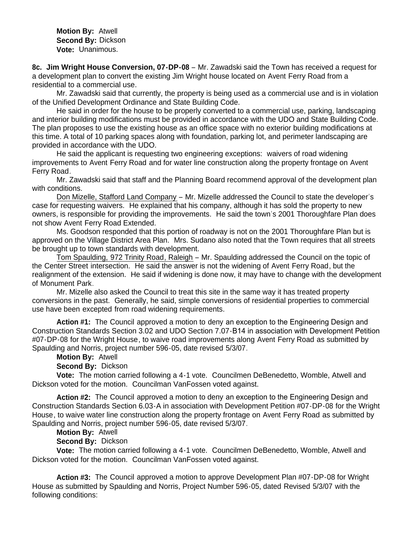**Motion By:** Atwell **Second By:** Dickson **Vote:** Unanimous.

**8c. Jim Wright House Conversion, 07-DP-08** – Mr. Zawadski said the Town has received a request for a development plan to convert the existing Jim Wright house located on Avent Ferry Road from a residential to a commercial use.

 Mr. Zawadski said that currently, the property is being used as a commercial use and is in violation of the Unified Development Ordinance and State Building Code.

 He said in order for the house to be properly converted to a commercial use, parking, landscaping and interior building modifications must be provided in accordance with the UDO and State Building Code. The plan proposes to use the existing house as an office space with no exterior building modifications at this time. A total of 10 parking spaces along with foundation, parking lot, and perimeter landscaping are provided in accordance with the UDO.

 He said the applicant is requesting two engineering exceptions: waivers of road widening improvements to Avent Ferry Road and for water line construction along the property frontage on Avent Ferry Road.

Mr. Zawadski said that staff and the Planning Board recommend approval of the development plan with conditions.

Don Mizelle, Stafford Land Company – Mr. Mizelle addressed the Council to state the developer's case for requesting waivers. He explained that his company, although it has sold the property to new owners, is responsible for providing the improvements. He said the town's 2001 Thoroughfare Plan does not show Avent Ferry Road Extended.

Ms. Goodson responded that this portion of roadway is not on the 2001 Thoroughfare Plan but is approved on the Village District Area Plan. Mrs. Sudano also noted that the Town requires that all streets be brought up to town standards with development.

Tom Spaulding, 972 Trinity Road, Raleigh – Mr. Spaulding addressed the Council on the topic of the Center Street intersection. He said the answer is not the widening of Avent Ferry Road, but the realignment of the extension. He said if widening is done now, it may have to change with the development of Monument Park.

Mr. Mizelle also asked the Council to treat this site in the same way it has treated property conversions in the past. Generally, he said, simple conversions of residential properties to commercial use have been excepted from road widening requirements.

**Action #1:** The Council approved a motion to deny an exception to the Engineering Design and Construction Standards Section 3.02 and UDO Section 7.07-B14 in association with Development Petition #07-DP-08 for the Wright House, to waive road improvements along Avent Ferry Road as submitted by Spaulding and Norris, project number 596-05, date revised 5/3/07.

# **Motion By:** Atwell

### **Second By:** Dickson

 **Vote:** The motion carried following a 4-1 vote. Councilmen DeBenedetto, Womble, Atwell and Dickson voted for the motion. Councilman VanFossen voted against.

**Action #2:** The Council approved a motion to deny an exception to the Engineering Design and Construction Standards Section 6.03-A in association with Development Petition #07-DP-08 for the Wright House, to waive water line construction along the property frontage on Avent Ferry Road as submitted by Spaulding and Norris, project number 596-05, date revised 5/3/07.

**Motion By:** Atwell

**Second By:** Dickson

 **Vote:** The motion carried following a 4-1 vote. Councilmen DeBenedetto, Womble, Atwell and Dickson voted for the motion. Councilman VanFossen voted against.

**Action #3:** The Council approved a motion to approve Development Plan #07-DP-08 for Wright House as submitted by Spaulding and Norris, Project Number 596-05, dated Revised 5/3/07 with the following conditions: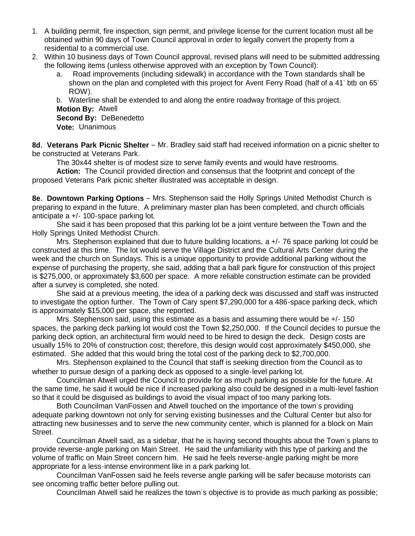- 1. A building permit, fire inspection, sign permit, and privilege license for the current location must all be obtained within 90 days of Town Council approval in order to legally convert the property from a residential to a commercial use.
- 2. Within 10 business days of Town Council approval, revised plans will need to be submitted addressing the following items (unless otherwise approved with an exception by Town Council):
	- a. Road improvements (including sidewalk) in accordance with the Town standards shall be shown on the plan and completed with this project for Avent Ferry Road (half of a 41' btb on 65' ROW).

b. Waterline shall be extended to and along the entire roadway frontage of this project.

**Motion By:** Atwell **Second By:** DeBenedetto

**Vote:** Unanimous

**8d. Veterans Park Picnic Shelter** – Mr. Bradley said staff had received information on a picnic shelter to be constructed at Veterans Park.

The 30x44 shelter is of modest size to serve family events and would have restrooms.

 **Action:** The Council provided direction and consensus that the footprint and concept of the proposed Veterans Park picnic shelter illustrated was acceptable in design.

**8e. Downtown Parking Options** – Mrs. Stephenson said the Holly Springs United Methodist Church is preparing to expand in the future. A preliminary master plan has been completed, and church officials anticipate a +/- 100-space parking lot.

 She said it has been proposed that this parking lot be a joint venture between the Town and the Holly Springs United Methodist Church.

 Mrs. Stephenson explained that due to future building locations, a +/- 76 space parking lot could be constructed at this time. The lot would serve the Village District and the Cultural Arts Center during the week and the church on Sundays. This is a unique opportunity to provide additional parking without the expense of purchasing the property, she said, adding that a ball park figure for construction of this project is \$275,000, or approximately \$3,600 per space. A more reliable construction estimate can be provided after a survey is completed, she noted.

 She said at a previous meeting, the idea of a parking deck was discussed and staff was instructed to investigate the option further. The Town of Cary spent \$7,290,000 for a 486-space parking deck, which is approximately \$15,000 per space, she reported.

Mrs. Stephenson said, using this estimate as a basis and assuming there would be  $+/-150$ spaces, the parking deck parking lot would cost the Town \$2,250,000. If the Council decides to pursue the parking deck option, an architectural firm would need to be hired to design the deck. Design costs are usually 15% to 20% of construction cost; therefore, this design would cost approximately \$450,000, she estimated. She added that this would bring the total cost of the parking deck to \$2,700,000.

Mrs. Stephenson explained to the Council that staff is seeking direction from the Council as to whether to pursue design of a parking deck as opposed to a single-level parking lot.

Councilman Atwell urged the Council to provide for as much parking as possible for the future. At the same time, he said it would be nice if increased parking also could be designed in a multi-level fashion so that it could be disguised as buildings to avoid the visual impact of too many parking lots.

Both Councilman VanFossen and Atwell touched on the importance of the town's providing adequate parking downtown not only for serving existing businesses and the Cultural Center but also for attracting new businesses and to serve the new community center, which is planned for a block on Main Street.

Councilman Atwell said, as a sidebar, that he is having second thoughts about the Town's plans to provide reverse-angle parking on Main Street. He said the unfamiliarity with this type of parking and the volume of traffic on Main Street concern him. He said he feels reverse-angle parking might be more appropriate for a less-intense environment like in a park parking lot.

Councilman VanFossen said he feels reverse angle parking will be safer because motorists can see oncoming traffic better before pulling out.

Councilman Atwell said he realizes the town's objective is to provide as much parking as possible;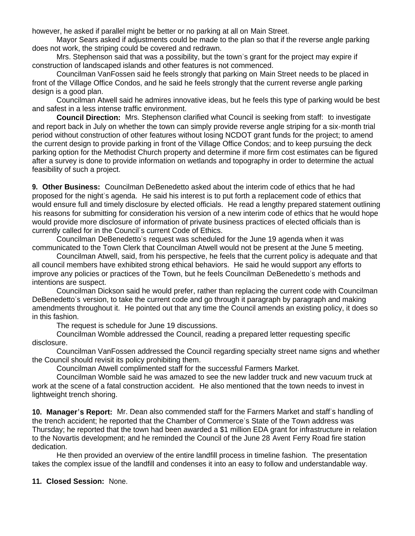however, he asked if parallel might be better or no parking at all on Main Street.

Mayor Sears asked if adjustments could be made to the plan so that if the reverse angle parking does not work, the striping could be covered and redrawn.

Mrs. Stephenson said that was a possibility, but the town's grant for the project may expire if construction of landscaped islands and other features is not commenced.

Councilman VanFossen said he feels strongly that parking on Main Street needs to be placed in front of the Village Office Condos, and he said he feels strongly that the current reverse angle parking design is a good plan.

Councilman Atwell said he admires innovative ideas, but he feels this type of parking would be best and safest in a less intense traffic environment.

**Council Direction:** Mrs. Stephenson clarified what Council is seeking from staff: to investigate and report back in July on whether the town can simply provide reverse angle striping for a six-month trial period without construction of other features without losing NCDOT grant funds for the project; to amend the current design to provide parking in front of the Village Office Condos; and to keep pursuing the deck parking option for the Methodist Church property and determine if more firm cost estimates can be figured after a survey is done to provide information on wetlands and topography in order to determine the actual feasibility of such a project.

**9. Other Business:** Councilman DeBenedetto asked about the interim code of ethics that he had proposed for the night's agenda. He said his interest is to put forth a replacement code of ethics that would ensure full and timely disclosure by elected officials. He read a lengthy prepared statement outlining his reasons for submitting for consideration his version of a new interim code of ethics that he would hope would provide more disclosure of information of private business practices of elected officials than is currently called for in the Council's current Code of Ethics.

 Councilman DeBenedetto's request was scheduled for the June 19 agenda when it was communicated to the Town Clerk that Councilman Atwell would not be present at the June 5 meeting.

 Councilman Atwell, said, from his perspective, he feels that the current policy is adequate and that all council members have exhibited strong ethical behaviors. He said he would support any efforts to improve any policies or practices of the Town, but he feels Councilman DeBenedetto's methods and intentions are suspect.

 Councilman Dickson said he would prefer, rather than replacing the current code with Councilman DeBenedetto's version, to take the current code and go through it paragraph by paragraph and making amendments throughout it. He pointed out that any time the Council amends an existing policy, it does so in this fashion.

The request is schedule for June 19 discussions.

 Councilman Womble addressed the Council, reading a prepared letter requesting specific disclosure.

 Councilman VanFossen addressed the Council regarding specialty street name signs and whether the Council should revisit its policy prohibiting them.

Councilman Atwell complimented staff for the successful Farmers Market.

 Councilman Womble said he was amazed to see the new ladder truck and new vacuum truck at work at the scene of a fatal construction accident. He also mentioned that the town needs to invest in lightweight trench shoring.

**10. Manager's Report:** Mr. Dean also commended staff for the Farmers Market and staff's handling of the trench accident; he reported that the Chamber of Commerce's State of the Town address was Thursday; he reported that the town had been awarded a \$1 million EDA grant for infrastructure in relation to the Novartis development; and he reminded the Council of the June 28 Avent Ferry Road fire station dedication.

 He then provided an overview of the entire landfill process in timeline fashion. The presentation takes the complex issue of the landfill and condenses it into an easy to follow and understandable way.

### **11. Closed Session:** None.